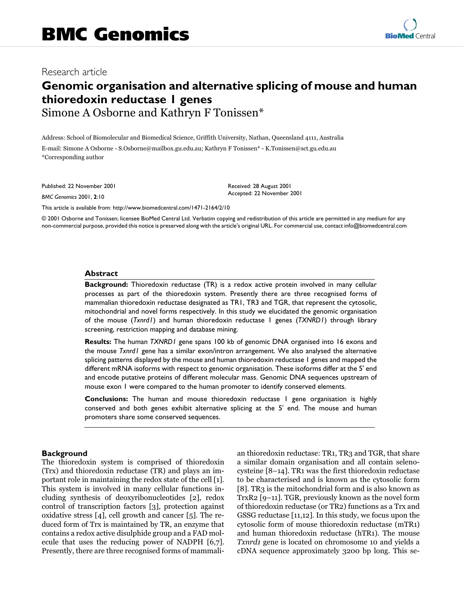# **Besearch article**

# **Genomic organisation and alternative splicing of mouse and human thioredoxin reductase 1 genes** Simone A Osborne and Kathryn F Tonissen\*

Address: School of Biomolecular and Biomedical Science, Griffith University, Nathan, Queensland 4111, Australia E-mail: Simone A Osborne - S.Osborne@mailbox.gu.edu.au; Kathryn F Tonissen\* - K.Tonissen@sct.gu.edu.au \*Corresponding author

Published: 22 November 2001

*BMC Genomics* 2001, **2**:10

[This article is available from: http://www.biomedcentral.com/1471-2164/2/10](http://www.biomedcentral.com/1471-2164/2/10)

© 2001 Osborne and Tonissen; licensee BioMed Central Ltd. Verbatim copying and redistribution of this article are permitted in any medium for any non-commercial purpose, provided this notice is preserved along with the article's original URL. For commercial use, contact info@biomedcentral.com

Received: 28 August 2001 Accepted: 22 November 2001

#### **Abstract**

**Background:** Thioredoxin reductase (TR) is a redox active protein involved in many cellular processes as part of the thioredoxin system. Presently there are three recognised forms of mammalian thioredoxin reductase designated as TR1, TR3 and TGR, that represent the cytosolic, mitochondrial and novel forms respectively. In this study we elucidated the genomic organisation of the mouse (*Txnrd1*) and human thioredoxin reductase 1 genes (*TXNRD1*) through library screening, restriction mapping and database mining.

**Results:** The human *TXNRD1* gene spans 100 kb of genomic DNA organised into 16 exons and the mouse *Txnrd1* gene has a similar exon/intron arrangement. We also analysed the alternative splicing patterns displayed by the mouse and human thioredoxin reductase 1 genes and mapped the different mRNA isoforms with respect to genomic organisation. These isoforms differ at the 5' end and encode putative proteins of different molecular mass. Genomic DNA sequences upstream of mouse exon 1 were compared to the human promoter to identify conserved elements.

**Conclusions:** The human and mouse thioredoxin reductase 1 gene organisation is highly conserved and both genes exhibit alternative splicing at the 5' end. The mouse and human promoters share some conserved sequences.

#### **Background**

The thioredoxin system is comprised of thioredoxin (Trx) and thioredoxin reductase (TR) and plays an important role in maintaining the redox state of the cell [[1\]](#page-7-0). This system is involved in many cellular functions including synthesis of deoxyribonucleotides [\[2\]](#page-7-1), redox control of transcription factors [[3\]](#page-7-2), protection against oxidative stress [[4](#page-7-3)], cell growth and cancer [[5\]](#page-7-4). The reduced form of Trx is maintained by TR, an enzyme that contains a redox active disulphide group and a FAD molecule that uses the reducing power of NADPH [[6](#page-7-5),[7\]](#page-7-6). Presently, there are three recognised forms of mammali-

an thioredoxin reductase: TR1, TR3 and TGR, that share a similar domain organisation and all contain selenocysteine [\[8](#page-7-7)[–14\]](#page-7-8). TR1 was the first thioredoxin reductase to be characterised and is known as the cytosolic form [[8\]](#page-7-7). TR3 is the mitochondrial form and is also known as TrxR2 [\[9](#page-7-9)[–11\]](#page-7-10). TGR, previously known as the novel form of thioredoxin reductase (or TR2) functions as a Trx and GSSG reductase [\[11](#page-7-10)[,12\]](#page-7-11). In this study, we focus upon the cytosolic form of mouse thioredoxin reductase (mTR1) and human thioredoxin reductase (hTR1). The mouse Txnrd1 gene is located on chromosome 10 and yields a cDNA sequence approximately 3200 bp long. This se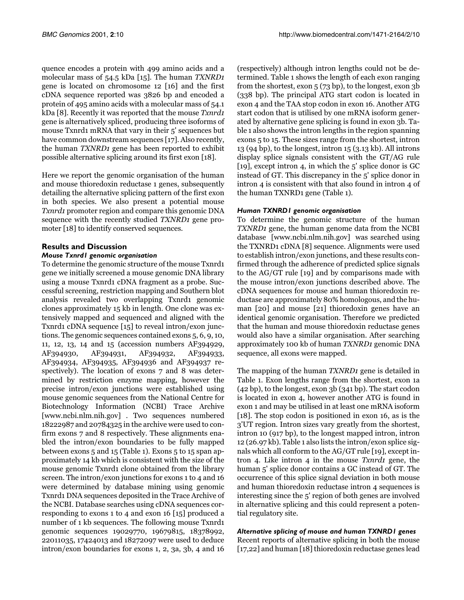quence encodes a protein with 499 amino acids and a molecular mass of 54.5 kDa [[15](#page-7-12)]. The human TXNRD1 gene is located on chromosome 12 [\[16\]](#page-7-13) and the first cDNA sequence reported was 3826 bp and encoded a protein of 495 amino acids with a molecular mass of 54.1 kDa [\[8](#page-7-7)]. Recently it was reported that the mouse Txnrd1 gene is alternatively spliced, producing three isoforms of mouse Txnrd1 mRNA that vary in their 5' sequences but have common downstream sequences [\[17](#page-7-14)]. Also recently, the human TXNRD1 gene has been reported to exhibit possible alternative splicing around its first exon [\[18](#page-7-15)].

Here we report the genomic organisation of the human and mouse thioredoxin reductase 1 genes, subsequently detailing the alternative splicing pattern of the first exon in both species. We also present a potential mouse Txnrd1 promoter region and compare this genomic DNA sequence with the recently studied TXNRD1 gene promoter [[18\]](#page-7-15) to identify conserved sequences.

## **Results and Discussion**

## *Mouse Txnrd1 genomic organisation*

To determine the genomic structure of the mouse Txnrd1 gene we initially screened a mouse genomic DNA library using a mouse Txnrd1 cDNA fragment as a probe. Successful screening, restriction mapping and Southern blot analysis revealed two overlapping Txnrd1 genomic clones approximately 15 kb in length. One clone was extensively mapped and sequenced and aligned with the Txnrd1 cDNA sequence [[15](#page-7-12)] to reveal intron/exon junctions. The genomic sequences contained exons 5, 6, 9, 10, 11, 12, 13, 14 and 15 (accession numbers AF394929, AF394930, AF394931, AF394932, AF394933, AF394934, AF394935, AF394936 and AF394937 respectively). The location of exons 7 and 8 was determined by restriction enzyme mapping, however the precise intron/exon junctions were established using mouse genomic sequences from the National Centre for Biotechnology Information (NCBI) Trace Archive [www.ncbi.nlm.nih.gov] . Two sequences numbered 18222987 and 20784325 in the archive were used to confirm exons 7 and 8 respectively. These alignments enabled the intron/exon boundaries to be fully mapped between exons 5 and 15 (Table [1\)](#page-1-0). Exons 5 to 15 span approximately 14 kb which is consistent with the size of the mouse genomic Txnrd1 clone obtained from the library screen. The intron/exon junctions for exons 1 to 4 and 16 were determined by database mining using genomic Txnrd1 DNA sequences deposited in the Trace Archive of [the NCBI. Database searches using cDNA sequences cor](www.ncbi.nlm.nih.gov)responding to exons 1 to 4 and exon 16 [[15](#page-7-12)] produced a number of 1 kb sequences. The following mouse Txnrd1 genomic sequences 19029770, 19679815, 18378992, 22011035, 17424013 and 18272097 were used to deduce intron/exon boundaries for exons 1, 2, 3a, 3b, 4 and 16

[\(respectively\) although intron lengths could not be de](www.ncbi.nlm.nih.gov)termined. Table [1](#page-1-0) shows the length of each exon ranging from the shortest, exon 5 (73 bp), to the longest, exon 3b (338 bp). The principal ATG start codon is located in exon 4 and the TAA stop codon in exon 16. Another ATG start codon that is utilised by one mRNA isoform generated by alternative gene splicing is found in exon 3b. Table [1](#page-1-0) also shows the intron lengths in the region spanning exons 5 to 15. These sizes range from the shortest, intron 13 (94 bp), to the longest, intron 15 (3.13 kb). All introns display splice signals consistent with the GT/AG rule [[19](#page-7-16)], except intron 4, in which the 5' splice donor is GC instead of GT. This discrepancy in the 5' splice donor in intron 4 is consistent with that also found in intron 4 of the human TXNRD1 gene (Table [1\)](#page-1-0).

## *Human TXNRD1 genomic organisation*

<span id="page-1-0"></span>To determine the genomic structure of the human TXNRD1 [gene, the human genome data from the NCBI](www.ncbi.nlm.nih.gov) [database \[www.ncbi.nlm.nih.gov\] was searched using](www.ncbi.nlm.nih.gov) the TXNRD1 cDNA [\[8](#page-7-7)] sequence. Alignments were used to establish intron/exon junctions, and these results confirmed through the adherence of predicted splice signals to the AG/GT rule [\[19\]](#page-7-16) and by comparisons made with the mouse intron/exon junctions described above. The cDNA sequences for mouse and human thioredoxin reductase are approximately 80% homologous, and the human [[20\]](#page-7-17) and mouse [\[21](#page-7-18)] thioredoxin genes have an identical genomic organisation. Therefore we predicted that the human and mouse thioredoxin reductase genes would also have a similar organisation. After searching [approximately 100 kb of human](www.ncbi.nlm.nih.gov) TXNRD1 genomic DNA sequence, all exons were mapped.

The mapping of the human TXNRD1 gene is detailed in Table [1.](#page-1-0) Exon lengths range from the shortest, exon 1a (42 bp), to the longest, exon 3b (341 bp). The start codon is located in exon 4, however another ATG is found in exon 1 and may be utilised in at least one mRNA isoform [[18\]](#page-7-15). The stop codon is positioned in exon 16, as is the 3'UT region. Intron sizes vary greatly from the shortest, intron 10 (917 bp), to the longest mapped intron, intron 12 (26.97 kb). Table [1](#page-1-0) also lists the intron/exon splice signals which all conform to the AG/GT rule [\[19\]](#page-7-16), except intron 4. Like intron 4 in the mouse Txnrd1 gene, the human 5' splice donor contains a GC instead of GT. The occurrence of this splice signal deviation in both mouse and human thioredoxin reductase intron 4 sequences is interesting since the 5' region of both genes are involved in alternative splicing and this could represent a potential regulatory site.

# *Alternative splicing of mouse and human TXNRD1 genes*

Recent reports of alternative splicing in both the mouse [[17](#page-7-14)[,22](#page-7-19)] and human [[18\]](#page-7-15) thioredoxin reductase genes lead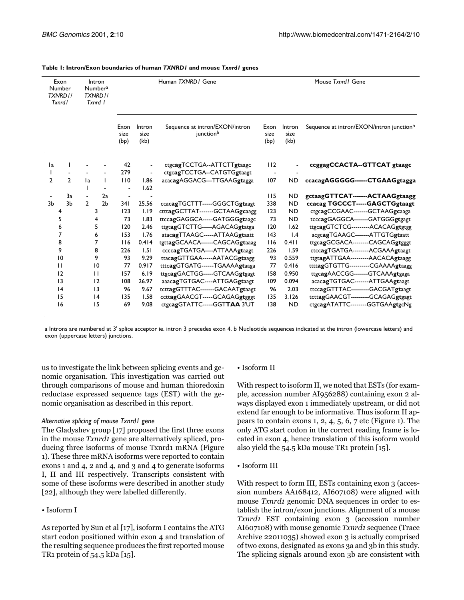| Exon<br>Number<br>TXNRD1/<br><b>Txnrd1</b> |               | Intron<br><b>Numbera</b><br>TXNRD I/<br>Txnrd I |                | Human TXNRD / Gene   |                        | Mouse Txnrd / Gene                          |                      |                               |                                          |
|--------------------------------------------|---------------|-------------------------------------------------|----------------|----------------------|------------------------|---------------------------------------------|----------------------|-------------------------------|------------------------------------------|
|                                            |               |                                                 |                | Exon<br>size<br>(bp) | Intron<br>size<br>(kb) | Sequence at intron/EXON/intron<br>junctionb | Exon<br>size<br>(bp) | Intron<br>size<br>(kb)        | Sequence at intron/EXON/intron junctionb |
| 1a                                         | L             |                                                 |                | 42                   | $\blacksquare$         | ctgcagTCCTGA--ATTCTTgtaagc                  | 112                  |                               | ccggagCCACTA--GTTCAT gtaagc              |
|                                            |               |                                                 |                | 279                  |                        | ctgcagTCCTGA--CATGTGgtaagt                  |                      |                               |                                          |
| $\mathcal{P}$                              | $\mathcal{L}$ | $\mathsf{I}$                                    | L              | 110                  | 1.86                   | acacagAGGACG---TTGAAGgtagga                 | 107                  | <b>ND</b>                     | ccacagAGGGGG------CTGAAGgtagga           |
|                                            |               | ı                                               |                | $\overline{a}$       | 1.62                   |                                             |                      |                               |                                          |
|                                            | 3a            |                                                 | 2a             |                      |                        |                                             | 115                  | <b>ND</b>                     | gctaagGTTCAT-------ACTAAGgtaagg          |
| 3 <sub>b</sub>                             | 3h            | $\mathcal{P}$                                   | 2 <sub>b</sub> | 341                  | 25.56                  | ccacagTGCTTT-----GGGCTGgtaagt               | 338                  | <b>ND</b>                     | ccacag TGCCCT-----GAGCTGgtaagt           |
| 4                                          |               |                                                 | 3              | 123                  | 1.19                   | ctttagGCTTAT-------GCTAAGgcaagg             | 123                  | <b>ND</b>                     | ctgcagCCGAAC-------GCTAAGgcaaga          |
| 5                                          |               | 4                                               |                | 73                   | 1.83                   | ttccagGAGGCA-----GATGGGgtaagc               | 73                   | <b>ND</b>                     | tcccagGAGGCA-------GATGGGgtgagt          |
| 6                                          |               | 5                                               |                | 120                  | 2.46                   | ttgtagGTCTTG-----AGACAGgtatga               | 120                  | 1.62                          | ttgcagGTCTCG---------ACACAGgtgtgg        |
| 7                                          |               | 6                                               |                | 153                  | 1.76                   | atacagTTAAGC-----ATTAAGgtaatt               | 143                  | $\mathsf{I} \cdot \mathsf{A}$ | acgcagTGAAGC-------ATTGTGgtaatt          |
| 8                                          |               | 7                                               |                | 116                  | 0.414                  | tgttagGCAACA------CAGCAGgtaaag              | 116                  | $0.4$                         | ttgcagGCGACA--------CAGCAGgtgggt         |
| 9                                          |               | 8                                               |                | 226                  | 1.51                   | ccccagTGATGA----ATTAAAgtaagt                | 226                  | 1.59                          | ctccagTGATGA--------ACGAAAgtaagt         |
| 10                                         |               | 9                                               |                | 93                   | 9.29                   | ttacagGTTGAA-----AATACGgtaagg               | 93                   | 0.559                         | ttgtagATTGAA---------AACACAgtaagg        |
| $\mathbf{H}$                               |               | 10                                              |                | 77                   | 0.917                  | tttcagGTGATG------TGAAAAgtaaga              | 77                   | 0.416                         | ttttagGTGTTG----------CGAAAAgtaagg       |
| 12                                         |               | $\mathbf{H}$                                    |                | 157                  | 6.19                   | ttgcagGACTGG-----GTCAAGgtgagt               | 158                  | 0.950                         | ttgcagAACCGG-------GTCAAAgtgaga          |
| 13                                         |               | 12                                              |                | 108                  | 26.97                  | aaacagTGTGAC----ATTGAGgtaagt                | 109                  | 0.094                         | acacagTGTGAC-------ATTGAAgtaagt          |
| 4                                          |               | 13                                              |                | 96                   | 9.67                   | tcttagGTTTAC-------GACAATgtaagt             | 96                   | 2.03                          | ttccagGTTTAC---------GACGATgtaagt        |
|                                            | 15            |                                                 | 4              |                      | 1.58                   | ccttagGAACGT-----GCAGAGgtgggt               | 135                  | 3.126                         | tcttagGAACGT---------GCAGAGgtgagt        |
| 16                                         |               |                                                 | 15             | 69                   | 9.08                   | ctgcagGTATTC-----GGTTAA 3'UT                | 138                  | <b>ND</b>                     | ctgcagATATTC--------GGTGAAgtgcNg         |

#### **Table 1: Intron/Exon boundaries of human** *TXNRD1* **and mouse** *Txnrd1* **genes**

a Introns are numbered at 3' splice acceptor ie. intron 3 precedes exon 4. b Nucleotide sequences indicated at the intron (lowercase letters) and exon (uppercase letters) junctions.

us to investigate the link between splicing events and genomic organisation. This investigation was carried out through comparisons of mouse and human thioredoxin reductase expressed sequence tags (EST) with the genomic organisation as described in this report.

#### *Alternative splicing of mouse Txnrd1 gene*

The Gladyshev group [\[17](#page-7-14)] proposed the first three exons in the mouse *Txnrd1* gene are alternatively spliced, producing three isoforms of mouse Txnrd1 mRNA (Figure [1](#page-3-0)). These three mRNA isoforms were reported to contain exons 1 and 4, 2 and 4, and 3 and 4 to generate isoforms I, II and III respectively. Transcripts consistent with some of these isoforms were described in another study [[22\]](#page-7-19), although they were labelled differently.

#### • Isoform I

As reported by Sun et al [[17\]](#page-7-14), isoform I contains the ATG start codon positioned within exon 4 and translation of the resulting sequence produces the first reported mouse TR1 protein of 54.5 kDa [\[15\]](#page-7-12).

#### • Isoform II

With respect to isoform II, we noted that ESTs (for example, accession number AI956288) containing exon 2 always displayed exon 1 immediately upstream, or did not extend far enough to be informative. Thus isoform II appears to contain exons 1, 2, 4, 5, 6, 7 etc (Figure [1\)](#page-3-0). The only ATG start codon in the correct reading frame is located in exon 4, hence translation of this isoform would also yield the 54.5 kDa mouse TR1 protein [[15](#page-7-12)].

• Isoform III

With respect to form III, ESTs containing exon 3 (accession numbers AA168412, AI607108) were aligned with mouse Txnrd1 genomic DNA sequences in order to establish the intron/exon junctions. Alignment of a mouse Txnrd1 EST containing exon 3 (accession number AI607108) with mouse genomic Txnrd1 sequence (Trace Archive 22011035) showed exon 3 is actually comprised of two exons, designated as exons 3a and 3b in this study. The splicing signals around exon 3b are consistent with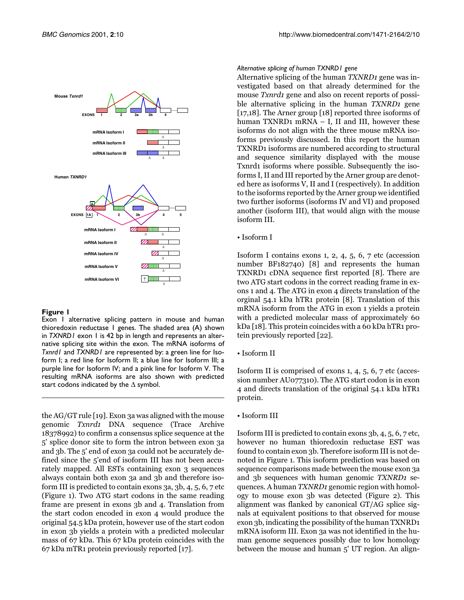

<span id="page-3-0"></span>Exon 1 alternative splicing pattern in mouse and human thioredoxin reductase 1 genes. The shaded area (A) shown in *TXNRD1* exon 1 is 42 bp in length and represents an alternative splicing site within the exon. The mRNA isoforms of *Txnrd1* and *TXNRD1* are represented by: a green line for Isoform I; a red line for Isoform II; a blue line for Isoform III; a purple line for Isoform IV; and a pink line for Isoform V. The resulting mRNA isoforms are also shown with predicted start codons indicated by the ∆ symbol.

the AG/GT rule [\[19\]](#page-7-16). Exon 3a was aligned with the mouse genomic Txnrd1 DNA sequence (Trace Archive 18378992) to confirm a consensus splice sequence at the 5' splice donor site to form the intron between exon 3a and 3b. The 5' end of exon 3a could not be accurately defined since the 5'end of isoform III has not been accurately mapped. All ESTs containing exon 3 sequences always contain both exon 3a and 3b and therefore isoform III is predicted to contain exons 3a, 3b, 4, 5, 6, 7 etc (Figure [1\)](#page-3-0). Two ATG start codons in the same reading frame are present in exons 3b and 4. Translation from the start codon encoded in exon 4 would produce the original 54.5 kDa protein, however use of the start codon in exon 3b yields a protein with a predicted molecular mass of 67 kDa. This 67 kDa protein coincides with the 67 kDa mTR1 protein previously reported [\[17\]](#page-7-14).

#### *Alternative splicing of human TXNRD1 gene*

Alternative splicing of the human TXNRD1 gene was investigated based on that already determined for the mouse *Txnrd1* gene and also on recent reports of possible alternative splicing in the human TXNRD1 gene [[17](#page-7-14)[,18](#page-7-15)]. The Arner group [\[18](#page-7-15)] reported three isoforms of human TXNRD1 mRNA – I, II and III, however these isoforms do not align with the three mouse mRNA isoforms previously discussed. In this report the human TXNRD1 isoforms are numbered according to structural and sequence similarity displayed with the mouse Txnrd1 isoforms where possible. Subsequently the isoforms I, II and III reported by the Arner group are denoted here as isoforms V, II and I (respectively). In addition to the isoforms reported by the Arner group we identified two further isoforms (isoforms IV and VI) and proposed another (isoform III), that would align with the mouse isoform III.

#### • Isoform I

Isoform I contains exons 1, 2, 4, 5, 6, 7 etc (accession number BF182740) [[8\]](#page-7-7) and represents the human TXNRD1 cDNA sequence first reported [\[8](#page-7-7)]. There are two ATG start codons in the correct reading frame in exons 1 and 4. The ATG in exon 4 directs translation of the orginal 54.1 kDa hTR1 protein [[8\]](#page-7-7). Translation of this mRNA isoform from the ATG in exon 1 yields a protein with a predicted molecular mass of approximately 60 kDa [\[18](#page-7-15)]. This protein coincides with a 60 kDa hTR1 protein previously reported [\[22](#page-7-19)].

• Isoform II

Isoform II is comprised of exons 1, 4, 5, 6, 7 etc (accession number AU077310). The ATG start codon is in exon 4 and directs translation of the original 54.1 kDa hTR1 protein.

• Isoform III

Isoform III is predicted to contain exons 3b, 4, 5, 6, 7 etc, however no human thioredoxin reductase EST was found to contain exon 3b. Therefore isoform III is not denoted in Figure [1.](#page-3-0) This isoform prediction was based on sequence comparisons made between the mouse exon 3a and 3b sequences with human genomic TXNRD1 sequences. A human TXNRD1 genomic region with homology to mouse exon 3b was detected (Figure [2](#page-4-0)). This alignment was flanked by canonical GT/AG splice signals at equivalent positions to that observed for mouse exon 3b, indicating the possibility of the human TXNRD1 mRNA isoform III. Exon 3a was not identified in the human genome sequences possibly due to low homology between the mouse and human 5' UT region. An align-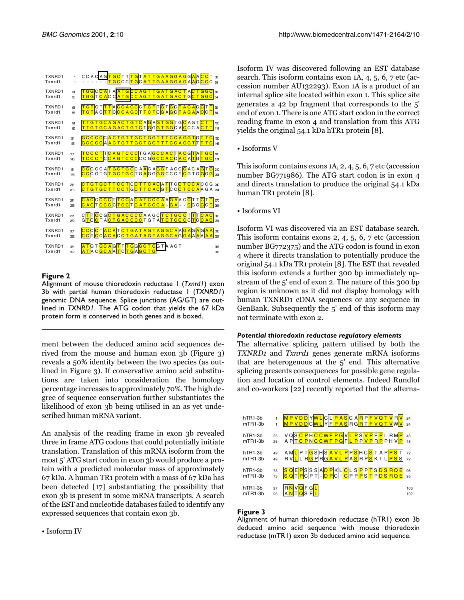| TXNRD1<br>Txnrd1 | 1<br>1          | ССАС <mark>А G <mark>Т G C</mark> T T T G T <mark>A T T G A A G G A G</mark> G <mark>A A C C</mark> T 3<br/>- - - - - - <mark>Т G C</mark> C C <mark>T G</mark> C <mark>A T T G A A G G A G</mark> A A G <mark>C C</mark> С я</mark>                                     |                |
|------------------|-----------------|--------------------------------------------------------------------------------------------------------------------------------------------------------------------------------------------------------------------------------------------------------------------------|----------------|
| TXNRD1<br>Txnrd1 | 31<br>25        | TGGCCATAATGCCAGTTGATGACTACTGGC<br>GCCAGTTGATGACTGCTGGCS<br><mark>TGG</mark> TCACCAT                                                                                                                                                                                      | $\epsilon$     |
| TXNRD1           | ଗ               | TGTGTTTACCAGCCTCTTGTGCTAGACCTT                                                                                                                                                                                                                                           | $\mathfrak{D}$ |
| Txnrd1           | 乐               | <mark>Т G T A C <mark>T T</mark> C <mark>C C A G C</mark> T <mark>T C T</mark> C <mark>G</mark> A <mark>G G T A G A A C C T</mark></mark>                                                                                                                                | 84             |
| TXNRD1           | 91              | TTGTGCAGACTGTCAGAGTGGTGCAGTCTT                                                                                                                                                                                                                                           | 120            |
| Txnrd1           | æ,              | <mark>T T G T G C A G A C T G T C  </mark> T <mark>G</mark>  G  <mark>G T G G</mark>  C A   <mark>C</mark>  C C A <mark> C T T</mark>                                                                                                                                    | 114            |
| TXNRD1           | 121             | GCCCCCACTGTTGCTGGTTTCCAGGTGTTC                                                                                                                                                                                                                                           | 150            |
| Txnrd1           | 115             | G C C C C  A <mark>A C T G T T G C T G G T T T C C A G G T</mark>  T <mark>T T C  </mark>                                                                                                                                                                                | 144            |
| TXNRD1           | 151             | TCCCTTCAGTCCCTGAGCCACTACGTATGC                                                                                                                                                                                                                                           | 180            |
| Txnrd1           | 145             | TCCCTCCAGTCCCCCCGGCCACCACATGTGC                                                                                                                                                                                                                                          | 174            |
| TXNRD1<br>Txnrd1 | 181<br>175      | <mark>СС</mark> 6 СС А <mark>Т G C T G C</mark> C A <mark>A</mark> C A <mark>G G</mark> T A G C <mark>C</mark> A C A <mark>G T G</mark> 20<br>ССС G Т G <mark>T G C T G C</mark> T G <mark>A</mark> G G <mark>G G</mark> C C C T <mark>C</mark> G T G <mark>G</mark> G a |                |
| TXNRD1           | 211             | CTGTGCTTCCTCCTTCACATTGCTCCACCG 240                                                                                                                                                                                                                                       |                |
| Txnrd1           | 205             | C T G T G C T T C C T G C T T C A C G <mark>T</mark> C C <mark>C T C C A</mark> A G A 234                                                                                                                                                                                |                |
| TXNRD1           | 241             | CACCCCCTTCCACATCCCAAGAAC <mark>C</mark> TT <mark>C</mark> TT                                                                                                                                                                                                             | 270            |
| Txnrd1           | 235             | <mark>САС</mark> Т <mark>ССС</mark> СТССТСАТСССА - <mark>GА - - С</mark> GС <mark>ССТ</mark>                                                                                                                                                                             | 251            |
| TXNRD1           | 271             | CTTCCGCTGACCCCAAGC <mark>TCTGCC</mark> TTCAC                                                                                                                                                                                                                             | 300            |
| Txnrd1           | $\mathcal{R}^p$ | G <mark>TCC</mark> TA <mark>CTGACCCC</mark> TGTA <mark>TCTGCC</mark> CTC <mark>CAC</mark> 291                                                                                                                                                                            |                |
| TXNRD1           | 3M              | CCCCTACATCTGATAGTAGGCAAGAGAGAA<br>CCTCCACACCTGATAGTAGGCAGGAAAAAA                                                                                                                                                                                                         | 330            |
| Txnrd1           | 29              |                                                                                                                                                                                                                                                                          | 321            |
| TXNRD1           | 331             | <mark>A T</mark> G T <mark>G C A G T</mark> T <mark>T G</mark> G <mark>G C T G</mark> G T A A G T                                                                                                                                                                        | 353            |
| Txnrd1           | 322             | <mark> A T  </mark> A C <mark> G C A  </mark> A <mark> T</mark>  C <mark> T G</mark>  A <mark> G C T G</mark>                                                                                                                                                            | 338            |

<span id="page-4-0"></span>Alignment of mouse thioredoxin reductase 1 (*Txnrd1*) exon 3b with partial human thioredoxin reductase 1 (*TXNRD1*) genomic DNA sequence. Splice junctions (AG/GT) are outlined in *TXNRD1*. The ATG codon that yields the 67 kDa protein form is conserved in both genes and is boxed.

ment between the deduced amino acid sequences derived from the mouse and human exon 3b (Figure [3](#page-4-1)) reveals a 50% identity between the two species (as outlined in Figure [3\)](#page-4-1). If conservative amino acid substitutions are taken into consideration the homology percentage increases to approximately 70%. The high degree of sequence conservation further substantiates the likelihood of exon 3b being utilised in an as yet undescribed human mRNA variant.

An analysis of the reading frame in exon 3b revealed three in frame ATG codons that could potentially initiate translation. Translation of this mRNA isoform from the most 5' ATG start codon in exon 3b would produce a protein with a predicted molecular mass of approximately 67 kDa. A human TR1 protein with a mass of 67 kDa has been detected [\[17](#page-7-14)] substantiating the possibility that exon 3b is present in some mRNA transcripts. A search of the EST and nucleotide databases failed to identify any expressed sequences that contain exon 3b.

• Isoform IV

Isoform IV was discovered following an EST database search. This isoform contains exon 1A, 4, 5, 6, 7 etc (accession number AU132293). Exon 1A is a product of an internal splice site located within exon 1. This splice site generates a 42 bp fragment that corresponds to the 5' end of exon 1. There is one ATG start codon in the correct reading frame in exon 4 and translation from this ATG yields the original 54.1 kDa hTR1 protein [\[8\]](#page-7-7).

• Isoforms V

This isoform contains exons 1A, 2, 4, 5, 6, 7 etc (accession number BG771986). The ATG start codon is in exon 4 and directs translation to produce the original 54.1 kDa human TR1 protein [[8\]](#page-7-7).

• Isoforms VI

Isoform VI was discovered via an EST database search. This isoform contains exons 2, 4, 5, 6, 7 etc (accession number BG772375) and the ATG codon is found in exon 4 where it directs translation to potentially produce the original 54.1 kDa TR1 protein [[8\]](#page-7-7). The EST that revealed this isoform extends a further 300 bp immediately upstream of the 5' end of exon 2. The nature of this 300 bp region is unknown as it did not display homology with human TXNRD1 cDNA sequences or any sequence in GenBank. Subsequently the 5' end of this isoform may not terminate with exon 2.

## *Potential thioredoxin reductase regulatory elements*

The alternative splicing pattern utilised by both the TXNRD1 and Txnrd1 genes generate mRNA isoforms that are heterogenous at the 5' end. This alternative splicing presents consequences for possible gene regulation and location of control elements. Indeed Rundlof and co-workers [\[22](#page-7-19)] recently reported that the alterna-

| hTR1-3b<br>$mTR1-3b$ |    | MPVDDYWLCLPASCARPFVQTVRV<br>MPVDDCWLYFPASRGRTFVQTVWV                                                                                         | 24<br>24 |
|----------------------|----|----------------------------------------------------------------------------------------------------------------------------------------------|----------|
| hTR1-3b              | 25 | VQ <mark>SCPHCCWFPG</mark> V <mark>LPSVPEP</mark> LRM <mark>P</mark><br>APT <mark>CPNCCWFPG</mark> F <mark>LPPVPRP</mark> PHV <mark>P</mark> | 48       |
| $mTR1-3b$            | 25 |                                                                                                                                              | 48       |
| hTR1-3b              | 49 | AM <mark>L</mark> PT <mark>GSHSAVLPPS</mark> HC <mark>S</mark> TAP <mark>PST</mark><br>RVLLR <mark>GPRGAVLPAS</mark> RPSKTLPSS               | 72       |
| $mTR1-3b$            | 49 |                                                                                                                                              | 72       |
| hTR1-3b              | 73 | <mark>SQEP</mark> SSSA <mark>DPKLCLSPPTSDSRQE</mark><br><mark>SQ</mark> T <u>P</u> CPT- <u>DPCICPPPSTPDSRQE</u>                              | 96       |
| $mTR1-3b$            | 73 |                                                                                                                                              | 95       |
| $hTR1-3b$            | 97 | RNVOFGL                                                                                                                                      | 103      |
| mTR1-3b              | 96 |                                                                                                                                              | 102      |

# <span id="page-4-1"></span>**Figure 3**

Alignment of human thioredoxin reductase (hTR1) exon 3b deduced amino acid sequence with mouse thioredoxin reductase (mTR1) exon 3b deduced amino acid sequence.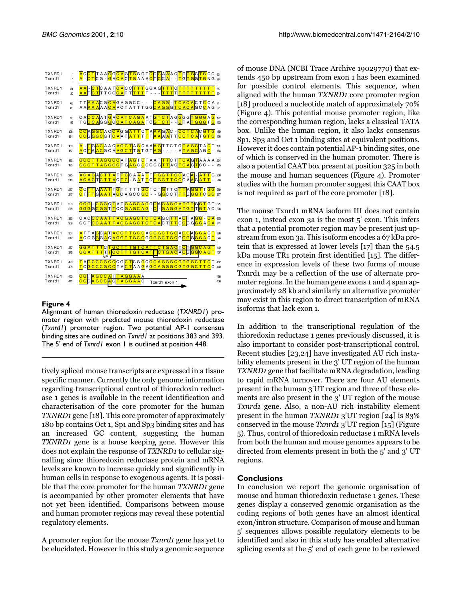| TXNRD1<br>Txnrd1 | f.             | _ <mark>А</mark> С <mark>СТ</mark> ТАА <mark>GGC AGTG</mark> G G T <mark>C</mark> C <mark>C</mark> IA <mark>A</mark> A C <mark>TTTGCTG</mark> CC <sub>33</sub><br>_A - <u>C T</u> CG - <u>GIAC A</u> C TGIA A A <mark>C</mark> TCCA - - TG <mark>TG</mark> GTGNG 29                                |            |
|------------------|----------------|----------------------------------------------------------------------------------------------------------------------------------------------------------------------------------------------------------------------------------------------------------------------------------------------------|------------|
| TXNRD1           | 34             | <mark>AA</mark> - <mark>C T</mark> C A A T <mark>C A</mark> C C <mark>T T T</mark> G G A G <mark>T T T C T T T T T T T T T T</mark> &                                                                                                                                                              |            |
| Txnrd1           | $\mathfrak{D}$ | <mark>A A T C T</mark> T T G G <mark>C A </mark> T T <mark>  T T T</mark> T - - - <mark>  T T T  </mark> T <mark>T T T T T T T T T T</mark> <sub>9</sub>                                                                                                                                           |            |
| TXNRD1           | 66             | TT <mark>AAA</mark> CG <mark>CA</mark> GAGGCC - - - <mark>CAGG</mark> - <mark>TCACA</mark> CT <mark>C</mark> CA <sub>94</sub>                                                                                                                                                                      |            |
| Txnrd1           | $\epsilon$     | АА <mark>ААА</mark> АА <mark>СА</mark> АСТАТТТGG <mark>САGG</mark> G <mark>ТСАСА</mark> GC <mark>С</mark> АG <sub>92</sub>                                                                                                                                                                         |            |
| TXNRD1           | 95             | C A <mark>C C A</mark> A T <mark>G</mark> A <mark>C A T C A G A</mark> A T <mark>G T C T</mark> A G <mark>G</mark> G G <mark>T G G G</mark> A <mark>G</mark> 127                                                                                                                                   |            |
| Txnrd1           | 93             | TG <mark>C C A</mark> GG <mark>G</mark> GC A T C A G A T C <mark>G T C T</mark> - - G T A <mark>T G G G</mark> T <mark>G</mark> 28                                                                                                                                                                 |            |
| TXNRD1           | 128            | <mark>ССАGGC</mark> A C <mark>C A</mark> G G <mark>A T T</mark> IC <mark>T A A A</mark> G <mark>A</mark> C - <mark>ССТСА</mark> С G T G<br>ССG G G C G T <mark>С A</mark> A T <mark>A T T</mark> T T <mark>A A A A</mark> T T <mark>C C T C A</mark> T G T G                                       | 159        |
| Txnrd1           | 124            |                                                                                                                                                                                                                                                                                                    | 156        |
| TXNRD1           | 160            | _A - <mark>T</mark> G <mark>A C</mark> A A C <mark>A G C T</mark> A G C A A A G T T C T G <mark>T A G C</mark> T A <mark>C</mark> T<br>_A C T A   A C G C A <mark>A G C T</mark> T G T G T A G - - - - - A <mark>T A G C</mark> A G <mark>C</mark> -                                               | 191        |
| Txnrd1           | 157            |                                                                                                                                                                                                                                                                                                    | 184        |
| TXNRD1<br>Txnrd1 | 192<br>185     | GCCTTAGGGCATAGTCTAAT <mark>TT</mark> CT <mark>TCA</mark> GTAAAA 224<br>GCCTTAGGGCTG <mark>AG</mark> CCCGGGTTACTCACTCC - - 215                                                                                                                                                                      |            |
| TXNRD1<br>Txnrd1 | 25<br>216      | <mark>АСАСАСТТА</mark> Т <mark>ТС</mark> СА <mark>ДА ПТТ G G ТТ СС</mark> А G <mark>A I -   А Т Т</mark> G <i>2</i> 5:<br><mark>АСАС</mark> Т <mark>СТТ А</mark> С <mark>T C</mark> - G <mark>A</mark> T <mark>T</mark> C <mark>T</mark> G G T T C C C A <mark>A</mark> C <mark>A T T</mark> - 246 |            |
| TXNRD1<br>Txnrd1 | 257<br>247     | <mark>С</mark> СГТАААТТGТТТТТ <mark>GС</mark> ТСТ <mark>GТТС∏ТАGGТ</mark> ТGG  289<br>СТ <mark>ТТС</mark> ААТАGСАGСС <mark>GС</mark> - - G <mark>G</mark> CСТ <mark>ТТG GGTC GG</mark> 277                                                                                                         |            |
| TXNRD1<br>Txnrd1 | 290<br>278     | GGGI-CGGCTATGAGCAGGCAGAGATGTGGTGT<br>GGGCCGGTTCCGAGCAG-C-GAGGATGTTGTAC333                                                                                                                                                                                                                          | 308        |
| TXNRD1           | 322            |                                                                                                                                                                                                                                                                                                    | 363        |
| Txnrd1           | 309            |                                                                                                                                                                                                                                                                                                    | 341        |
| TXNRD1           | 354            | ATTAGCATAGGTTGCCAGGGCTGCACGAGGAGT                                                                                                                                                                                                                                                                  | 386        |
| Txnrd1           | 342            | ACCGGGACACAGGTTGCCGGGGCTGCGCGGGGACT                                                                                                                                                                                                                                                                | 374        |
| TXNRD1<br>Txnrd1 | 387<br>35      | GGATTTCTGCTTTGTCATTCTGACTCTGGCAGT<br>GG A T T T T T GC T T T G T C A T <mark>T C T G A C</mark> A <mark>C G G G C A G T</mark><br>$AP-1$                                                                                                                                                           | 419<br>407 |
| TXNRD1           | 420            | AGCCCGCCCGCTCGGCGCAGGGCGTGGCTTCT                                                                                                                                                                                                                                                                   | 452        |
| Txnrd1           | 408            | <mark>  Т</mark> С <mark>G С С С G С С</mark> Т А <mark>С Т</mark> А А <mark>G</mark> А <mark>G С А G G G С G Т G G С Т Т С</mark> С                                                                                                                                                               | 440        |
| TXNRD1<br>Txnrd1 | 453<br>441     | CGTAGCCATTAGGAAA<br>CGGAGCCACTAGGAAC<br>Txnrd1 exon 1                                                                                                                                                                                                                                              | 468<br>456 |

<span id="page-5-0"></span>Alignment of human thioredoxin reductase (*TXNRD1*) promoter region with predicted mouse thioredoxin reductase (*Txnrd1*) promoter region. Two potential AP-1 consensus binding sites are outlined on *Txnrd1* at positions 383 and 393. The 5' end of *Txnrd1* exon 1 is outlined at position 448.

tively spliced mouse transcripts are expressed in a tissue specific manner. Currently the only genome information regarding transcriptional control of thioredoxin reductase 1 genes is available in the recent identification and characterisation of the core promoter for the human TXNRD1 gene [[18\]](#page-7-15). This core promoter of approximately 180 bp contains Oct 1, Sp1 and Sp3 binding sites and has an increased GC content, suggesting the human TXNRD1 gene is a house keeping gene. However this does not explain the response of TXNRD1 to cellular signalling since thioredoxin reductase protein and mRNA levels are known to increase quickly and significantly in human cells in response to exogenous agents. It is possible that the core promoter for the human TXNRD1 gene is accompanied by other promoter elements that have not yet been identified. Comparisons between mouse and human promoter regions may reveal these potential regulatory elements.

A promoter region for the mouse Txnrd1 gene has yet to be elucidated. However in this study a genomic sequence of mouse DNA (NCBI Trace Archive 19029770) that extends 450 bp upstream from exon 1 has been examined for possible control elements. This sequence, when aligned with the human TXNRD1 core promoter region [[18\]](#page-7-15) produced a nucleotide match of approximately 70% (Figure [4\)](#page-5-0). This potential mouse promoter region, like the corresponding human region, lacks a classical TATA box. Unlike the human region, it also lacks consensus Sp1, Sp3 and Oct 1 binding sites at equivalent positions. However it does contain potential AP-1 binding sites, one of which is conserved in the human promoter. There is also a potential CAAT box present at position 325 in both the mouse and human sequences (Figure [4](#page-5-0)). Promoter studies with the human promoter suggest this CAAT box is not required as part of the core promoter [\[18](#page-7-15)].

The mouse Txnrd1 mRNA isoform III does not contain exon 1, instead exon 3a is the most 5' exon. This infers that a potential promoter region may be present just upstream from exon 3a. This isoform encodes a 67 kDa protein that is expressed at lower levels [[17\]](#page-7-14) than the 54.5 kDa mouse TR1 protein first identified [[15\]](#page-7-12). The difference in expression levels of these two forms of mouse Txnrd1 may be a reflection of the use of alternate promoter regions. In the human gene exons 1 and 4 span approximately 28 kb and similarly an alternative promoter may exist in this region to direct transcription of mRNA isoforms that lack exon 1.

In addition to the transcriptional regulation of the thioredoxin reductase 1 genes previously discussed, it is also important to consider post-transcriptional control. Recent studies [\[23,](#page-7-20)[24](#page-7-21)] have investigated AU rich instability elements present in the 3' UT region of the human TXNRD1 gene that facilitate mRNA degradation, leading to rapid mRNA turnover. There are four AU elements present in the human 3'UT region and three of these elements are also present in the 3' UT region of the mouse Txnrd1 gene. Also, a non-AU rich instability element present in the human TXNRD1 3'UT region [[24\]](#page-7-21) is 83% conserved in the mouse Txnrd1 3'UT region  $[15]$  $[15]$  (Figure [5](#page-6-0)). Thus, control of thioredoxin reductase 1 mRNA levels from both the human and mouse genomes appears to be directed from elements present in both the 5' and 3' UT regions.

# **Conclusions**

In conclusion we report the genomic organisation of mouse and human thioredoxin reductase 1 genes. These genes display a conserved genomic organisation as the coding regions of both genes have an almost identical exon/intron structure. Comparison of mouse and human 5' sequences allows possible regulatory elements to be identified and also in this study has enabled alternative splicing events at the 5' end of each gene to be reviewed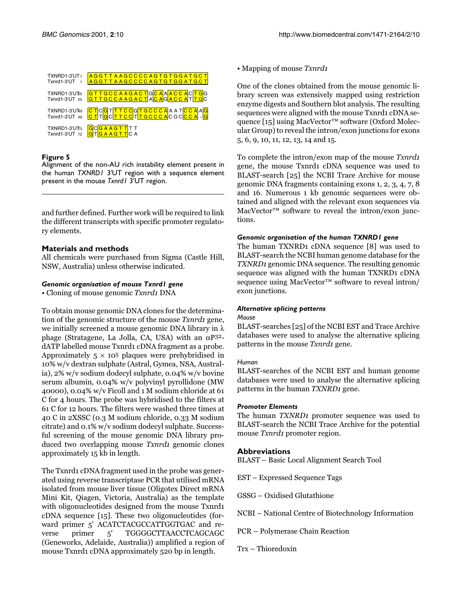| TXNRD1-3'UT1<br>Txnrd1-3'UT     | AGGTTAAGCCCCAGTGTGGATGCT<br>AGGTTAAGCCCCAGTGTGGATGCT                                                             |
|---------------------------------|------------------------------------------------------------------------------------------------------------------|
| TXNRD1-3'UTE5<br>Txnrd1-3'UT 25 | GTTGCCAAGACTGCAA <mark>ACCAC</mark> TGG<br>GTTGCCAAGACTA <mark>CA</mark> G <mark>ACCA</mark> T <mark>TG</mark> C |
| TXNRD1-3'UT49<br>Txnrd1-3'UT 49 | CTCGTTTCCGTGCCCAAATCCAAG<br>CTTGCTTCCTTGCCCACGCCCA-G                                                             |
| TXNRD1-3'UT3<br>Txnrd1-3'UT 72  | <b>GCGAAGTT</b> TT<br>T <mark>G A A G T T</mark> C A                                                             |

<span id="page-6-0"></span>Alignment of the non-AU rich instability element present in the human *TXNRD1* 3'UT region with a sequence element present in the mouse *Txnrd1* 3'UT region.

and further defined. Further work will be required to link the different transcripts with specific promoter regulatory elements.

# **Materials and methods**

All chemicals were purchased from Sigma (Castle Hill, NSW, Australia) unless otherwise indicated.

## *Genomic organisation of mouse Txnrd1 gene*

• Cloning of mouse genomic Txnrd1 DNA

To obtain mouse genomic DNA clones for the determination of the genomic structure of the mouse Txnrd1 gene, we initially screened a mouse genomic DNA library in  $\lambda$ phage (Stratagene, La Jolla, CA, USA) with an  $αP32$ dATP labelled mouse Txnrd1 cDNA fragment as a probe. Approximately  $5 \times 10^5$  plaques were prehybridised in 10% w/v dextran sulphate (Astral, Gymea, NSA, Australia), 2% w/v sodium dodecyl sulphate, 0.04% w/v bovine serum albumin, 0.04% w/v polyvinyl pyrollidone (MW 40000), 0.04% w/v Ficoll and 1 M sodium chloride at 61 C for 4 hours. The probe was hybridised to the filters at 61 C for 12 hours. The filters were washed three times at 40 C in 2XSSC (0.3 M sodium chloride, 0.33 M sodium citrate) and 0.1% w/v sodium dodecyl sulphate. Successful screening of the mouse genomic DNA library produced two overlapping mouse Txnrd1 genomic clones approximately 15 kb in length.

The Txnrd1 cDNA fragment used in the probe was generated using reverse transcriptase PCR that utilised mRNA isolated from mouse liver tissue (Oligotex Direct mRNA Mini Kit, Qiagen, Victoria, Australia) as the template with oligonucleotides designed from the mouse Txnrd1 cDNA sequence [\[15\]](#page-7-12). These two oligonucleotides (forward primer 5' ACATCTACGCCATTGGTGAC and reverse primer 5' TGGGGCTTAACCTCAGCAGC (Geneworks, Adelaide, Australia)) amplified a region of mouse Txnrd1 cDNA approximately 520 bp in length.

• Mapping of mouse Txnrd1

One of the clones obtained from the mouse genomic library screen was extensively mapped using restriction enzyme digests and Southern blot analysis. The resulting sequences were aligned with the mouse Txnrd1 cDNA se-quence [[15](#page-7-12)] using MacVector<sup>™</sup> software (Oxford Molecular Group) to reveal the intron/exon junctions for exons 5, 6, 9, 10, 11, 12, 13, 14 and 15.

To complete the intron/exon map of the mouse Txnrd1 gene, the mouse Txnrd1 cDNA sequence was used to BLAST-search [\[25\]](#page-7-22) the NCBI Trace Archive for mouse genomic DNA fragments containing exons 1, 2, 3, 4, 7, 8 and 16. Numerous 1 kb genomic sequences were obtained and aligned with the relevant exon sequences via MacVector™ software to reveal the intron/exon junctions.

## *Genomic organisation of the human TXNRD1 gene*

The human TXNRD1 cDNA sequence [[8](#page-7-7)] was used to BLAST-search the NCBI human genome database for the TXNRD1 genomic DNA sequence. The resulting genomic sequence was aligned with the human TXNRD1 cDNA sequence using MacVector™ software to reveal intron/ exon junctions.

## *Alternative splicing patterns*

## *Mouse*

BLAST-searches [\[25\]](#page-7-22) of the NCBI EST and Trace Archive databases were used to analyse the alternative splicing patterns in the mouse *Txnrd1* gene.

## *Human*

BLAST-searches of the NCBI EST and human genome databases were used to analyse the alternative splicing patterns in the human TXNRD1 gene.

# *Promoter Elements*

The human TXNRD1 promoter sequence was used to BLAST-search the NCBI Trace Archive for the potential mouse *Txnrd1* promoter region.

# **Abbreviations**

BLAST – Basic Local Alignment Search Tool

EST – Expressed Sequence Tags

GSSG – Oxidised Glutathione

NCBI – National Centre of Biotechnology Information

PCR – Polymerase Chain Reaction

Trx – Thioredoxin